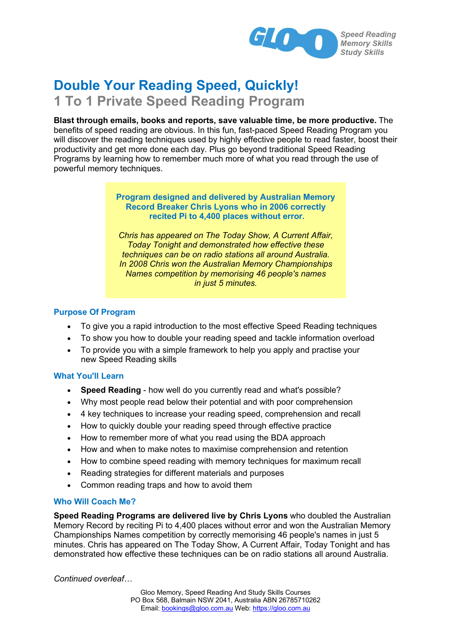

# **Double Your Reading Speed, Quickly! 1 To 1 Private Speed Reading Program**

**Blast through emails, books and reports, save valuable time, be more productive.** The benefits of speed reading are obvious. In this fun, fast-paced Speed Reading Program you will discover the reading techniques used by highly effective people to read faster, boost their productivity and get more done each day. Plus go beyond traditional Speed Reading Programs by learning how to remember much more of what you read through the use of powerful memory techniques.

## **Program designed and delivered by Australian Memory Record Breaker Chris Lyons who in 2006 correctly recited Pi to 4,400 places without error.**

*Chris has appeared on The Today Show, A Current Affair, Today Tonight and demonstrated how effective these techniques can be on radio stations all around Australia. In 2008 Chris won the Australian Memory Championships Names competition by memorising 46 people's names in just 5 minutes.*

# **Purpose Of Program**

- · To give you a rapid introduction to the most effective Speed Reading techniques
- · To show you how to double your reading speed and tackle information overload
- · To provide you with a simple framework to help you apply and practise your new Speed Reading skills

## **What You'll Learn**

- · **Speed Reading** how well do you currently read and what's possible?
- · Why most people read below their potential and with poor comprehension
- · 4 key techniques to increase your reading speed, comprehension and recall
- · How to quickly double your reading speed through effective practice
- · How to remember more of what you read using the BDA approach
- · How and when to make notes to maximise comprehension and retention
- · How to combine speed reading with memory techniques for maximum recall
- · Reading strategies for different materials and purposes
- · Common reading traps and how to avoid them

## **Who Will Coach Me?**

**Speed Reading Programs are delivered live by Chris Lyons** who doubled the Australian Memory Record by reciting Pi to 4,400 places without error and won the Australian Memory Championships Names competition by correctly memorising 46 people's names in just 5 minutes. Chris has appeared on The Today Show, A Current Affair, Today Tonight and has demonstrated how effective these techniques can be on radio stations all around Australia.

*Continued overleaf…*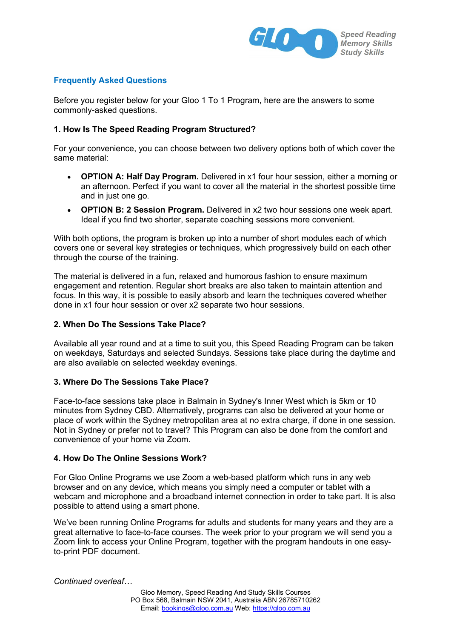

## **Frequently Asked Questions**

Before you register below for your Gloo 1 To 1 Program, here are the answers to some commonly-asked questions.

## **1. How Is The Speed Reading Program Structured?**

For your convenience, you can choose between two delivery options both of which cover the same material:

- · **OPTION A: Half Day Program.** Delivered in x1 four hour session, either a morning or an afternoon. Perfect if you want to cover all the material in the shortest possible time and in just one go.
- · **OPTION B: 2 Session Program.** Delivered in x2 two hour sessions one week apart. Ideal if you find two shorter, separate coaching sessions more convenient.

With both options, the program is broken up into a number of short modules each of which covers one or several key strategies or techniques, which progressively build on each other through the course of the training.

The material is delivered in a fun, relaxed and humorous fashion to ensure maximum engagement and retention. Regular short breaks are also taken to maintain attention and focus. In this way, it is possible to easily absorb and learn the techniques covered whether done in x1 four hour session or over x2 separate two hour sessions.

#### **2. When Do The Sessions Take Place?**

Available all year round and at a time to suit you, this Speed Reading Program can be taken on weekdays, Saturdays and selected Sundays. Sessions take place during the daytime and are also available on selected weekday evenings.

#### **3. Where Do The Sessions Take Place?**

Face-to-face sessions take place in Balmain in Sydney's Inner West which is 5km or 10 minutes from Sydney CBD. Alternatively, programs can also be delivered at your home or place of work within the Sydney metropolitan area at no extra charge, if done in one session. Not in Sydney or prefer not to travel? This Program can also be done from the comfort and convenience of your home via Zoom.

#### **4. How Do The Online Sessions Work?**

For Gloo Online Programs we use Zoom a web-based platform which runs in any web browser and on any device, which means you simply need a computer or tablet with a webcam and microphone and a broadband internet connection in order to take part. It is also possible to attend using a smart phone.

We've been running Online Programs for adults and students for many years and they are a great alternative to face-to-face courses. The week prior to your program we will send you a Zoom link to access your Online Program, together with the program handouts in one easyto-print PDF document.

*Continued overleaf…*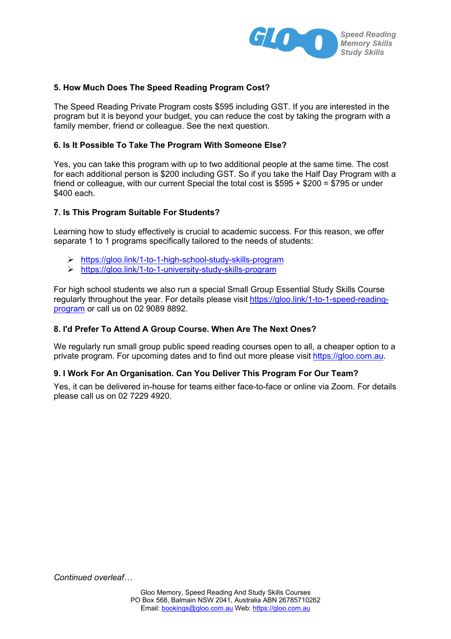

## **5. How Much Does The Speed Reading Program Cost?**

The Speed Reading Private Program costs \$595 including GST. If you are interested in the program but it is beyond your budget, you can reduce the cost by taking the program with a family member, friend or colleague. See the next question.

## **6. Is It Possible To Take The Program With Someone Else?**

Yes, you can take this program with up to two additional people at the same time. The cost for each additional person is \$200 including GST. So if you take the Half Day Program with a friend or colleague, with our current Special the total cost is \$595 + \$200 = \$795 or under \$400 each.

#### **7. Is This Program Suitable For Students?**

Learning how to study effectively is crucial to academic success. For this reason, we offer separate 1 to 1 programs specifically tailored to the needs of students:

- ÿ https://gloo.link/1-to-1-high-school-study-skills-program
- ÿ https://gloo.link/1-to-1-university-study-skills-program

For high school students we also run a special Small Group Essential Study Skills Course regularly throughout the year. For details please visit https://gloo.link/1-to-1-speed-readingprogram or call us on 02 9089 8892.

## **8. I'd Prefer To Attend A Group Course. When Are The Next Ones?**

We regularly run small group public speed reading courses open to all, a cheaper option to a private program. For upcoming dates and to find out more please visit https://gloo.com.au.

#### **9. I Work For An Organisation. Can You Deliver This Program For Our Team?**

Yes, it can be delivered in-house for teams either face-to-face or online via Zoom. For details please call us on 02 7229 4920.

*Continued overleaf…*